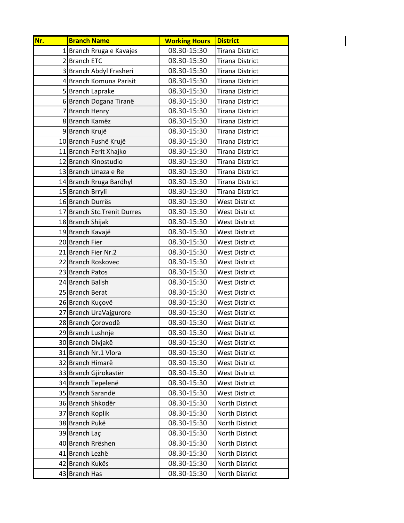| Nr. | <b>Branch Name</b>           | <b>Working Hours</b> | <b>District</b>        |
|-----|------------------------------|----------------------|------------------------|
|     | 1 Branch Rruga e Kavajes     | 08.30-15:30          | <b>Tirana District</b> |
|     | 2 Branch ETC                 | 08.30-15:30          | <b>Tirana District</b> |
|     | 3 Branch Abdyl Frasheri      | 08.30-15:30          | <b>Tirana District</b> |
|     | 4 Branch Komuna Parisit      | 08.30-15:30          | <b>Tirana District</b> |
|     | 5 Branch Laprake             | 08.30-15:30          | <b>Tirana District</b> |
|     | 6Branch Dogana Tiranë        | 08.30-15:30          | <b>Tirana District</b> |
|     | 7 Branch Henry               | 08.30-15:30          | <b>Tirana District</b> |
|     | 8 Branch Kamëz               | 08.30-15:30          | <b>Tirana District</b> |
|     | 9 Branch Krujë               | 08.30-15:30          | <b>Tirana District</b> |
|     | 10 Branch Fushë Krujë        | 08.30-15:30          | <b>Tirana District</b> |
|     | 11 Branch Ferit Xhajko       | 08.30-15:30          | <b>Tirana District</b> |
|     | 12 Branch Kinostudio         | 08.30-15:30          | <b>Tirana District</b> |
|     | 13 Branch Unaza e Re         | 08.30-15:30          | <b>Tirana District</b> |
|     | 14 Branch Rruga Bardhyl      | 08.30-15:30          | <b>Tirana District</b> |
|     | 15 Branch Brryli             | 08.30-15:30          | <b>Tirana District</b> |
|     | 16 Branch Durrës             | 08.30-15:30          | <b>West District</b>   |
|     | 17 Branch Stc. Trenit Durres | 08.30-15:30          | <b>West District</b>   |
|     | 18 Branch Shijak             | 08.30-15:30          | <b>West District</b>   |
|     | 19 Branch Kavajë             | 08.30-15:30          | <b>West District</b>   |
|     | 20 Branch Fier               | 08.30-15:30          | <b>West District</b>   |
|     | 21 Branch Fier Nr.2          | 08.30-15:30          | <b>West District</b>   |
|     | 22 Branch Roskovec           | 08.30-15:30          | <b>West District</b>   |
|     | 23 Branch Patos              | 08.30-15:30          | <b>West District</b>   |
|     | 24 Branch Ballsh             | 08.30-15:30          | <b>West District</b>   |
|     | 25 Branch Berat              | 08.30-15:30          | <b>West District</b>   |
|     | 26 Branch Kuçovë             | 08.30-15:30          | <b>West District</b>   |
|     | 27 Branch UraVajgurore       | 08.30-15:30          | <b>West District</b>   |
|     | 28 Branch Çorovodë           | 08.30-15:30          | <b>West District</b>   |
|     | 29 Branch Lushnje            | 08.30-15:30          | <b>West District</b>   |
|     | 30 Branch Divjakë            | 08.30-15:30          | <b>West District</b>   |
|     | 31 Branch Nr.1 Vlora         | 08.30-15:30          | <b>West District</b>   |
|     | 32 Branch Himarë             | 08.30-15:30          | <b>West District</b>   |
|     | 33 Branch Gjirokastër        | 08.30-15:30          | <b>West District</b>   |
|     | 34 Branch Tepelenë           | 08.30-15:30          | <b>West District</b>   |
|     | 35 Branch Sarandë            | 08.30-15:30          | <b>West District</b>   |
|     | 36 Branch Shkodër            | 08.30-15:30          | North District         |
|     | 37 Branch Koplik             | 08.30-15:30          | North District         |
|     | 38 Branch Pukë               | 08.30-15:30          | North District         |
|     | 39 Branch Lac                | 08.30-15:30          | North District         |
|     | 40 Branch Rrëshen            | 08.30-15:30          | North District         |
|     | 41 Branch Lezhë              | 08.30-15:30          | North District         |
|     | 42 Branch Kukës              | 08.30-15:30          | North District         |
|     | 43 Branch Has                | 08.30-15:30          | North District         |

 $\vert$